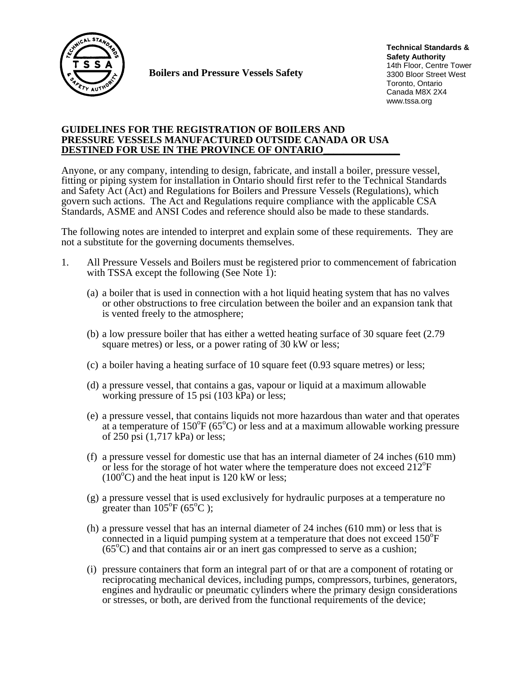

**Boilers and Pressure Vessels Safety** 

**Technical Standards & Safety Authority** 14th Floor, Centre Tower 3300 Bloor Street West Toronto, Ontario Canada M8X 2X4 www.tssa.org

# **GUIDELINES FOR THE REGISTRATION OF BOILERS AND PRESSURE VESSELS MANUFACTURED OUTSIDE CANADA OR USA DESTINED FOR USE IN THE PROVINCE OF ONTARIO\_\_\_\_\_\_\_\_\_\_\_\_\_\_\_**

Anyone, or any company, intending to design, fabricate, and install a boiler, pressure vessel, fitting or piping system for installation in Ontario should first refer to the Technical Standards and Safety Act (Act) and Regulations for Boilers and Pressure Vessels (Regulations), which govern such actions. The Act and Regulations require compliance with the applicable CSA Standards, ASME and ANSI Codes and reference should also be made to these standards.

The following notes are intended to interpret and explain some of these requirements. They are not a substitute for the governing documents themselves.

- 1. All Pressure Vessels and Boilers must be registered prior to commencement of fabrication with TSSA except the following (See Note  $\overline{1}$ ):
	- (a) a boiler that is used in connection with a hot liquid heating system that has no valves or other obstructions to free circulation between the boiler and an expansion tank that is vented freely to the atmosphere;
	- (b) a low pressure boiler that has either a wetted heating surface of 30 square feet (2.79 square metres) or less, or a power rating of 30 kW or less;
	- (c) a boiler having a heating surface of 10 square feet (0.93 square metres) or less;
	- (d) a pressure vessel, that contains a gas, vapour or liquid at a maximum allowable working pressure of 15 psi (103 kPa) or less;
	- (e) a pressure vessel, that contains liquids not more hazardous than water and that operates at a temperature of 150°F (65°C) or less and at a maximum allowable working pressure of 250 psi (1,717 kPa) or less;
	- (f) a pressure vessel for domestic use that has an internal diameter of 24 inches (610 mm) or less for the storage of hot water where the temperature does not exceed 212<sup>o</sup>F  $(100^{\circ}$ C) and the heat input is 120 kW or less;
	- (g) a pressure vessel that is used exclusively for hydraulic purposes at a temperature no greater than  $105^{\circ}F (65^{\circ}C)$ ;
	- (h) a pressure vessel that has an internal diameter of 24 inches (610 mm) or less that is connected in a liquid pumping system at a temperature that does not exceed 150<sup>o</sup>F  $(65^{\circ}C)$  and that contains air or an inert gas compressed to serve as a cushion;
	- (i) pressure containers that form an integral part of or that are a component of rotating or reciprocating mechanical devices, including pumps, compressors, turbines, generators, engines and hydraulic or pneumatic cylinders where the primary design considerations or stresses, or both, are derived from the functional requirements of the device;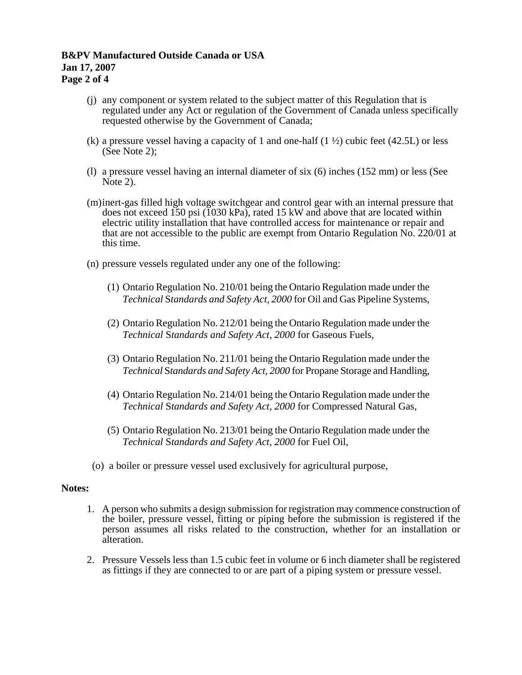# **B&PV Manufactured Outside Canada or USA Jan 17, 2007 Page 2 of 4**

- (j) any component or system related to the subject matter of this Regulation that is regulated under any Act or regulation of the Government of Canada unless specifically requested otherwise by the Government of Canada;
- (k) a pressure vessel having a capacity of 1 and one-half  $(1 \frac{1}{2})$  cubic feet (42.5L) or less (See Note 2);
- (l) a pressure vessel having an internal diameter of six (6) inches (152 mm) or less (See Note 2).
- (m) inert-gas filled high voltage switchgear and control gear with an internal pressure that does not exceed 150 psi (1030 kPa), rated 15 kW and above that are located within electric utility installation that have controlled access for maintenance or repair and that are not accessible to the public are exempt from Ontario Regulation No. 220/01 at this time.
- (n) pressure vessels regulated under any one of the following:
	- (1) Ontario Regulation No. 210/01 being the Ontario Regulation made under the *Technical* S*tandards and Safety Act, 2000* for Oil and Gas Pipeline Systems,
	- (2) Ontario Regulation No. 212/01 being the Ontario Regulation made under the *Technical* S*tandards and Safety Act, 2000* for Gaseous Fuels,
	- (3) Ontario Regulation No. 211/01 being the Ontario Regulation made under the *Technical* S*tandards and Safety Act, 2000* for Propane Storage and Handling,
	- (4) Ontario Regulation No. 214/01 being the Ontario Regulation made under the *Technical* S*tandards and Safety Act, 2000* for Compressed Natural Gas,
	- (5) Ontario Regulation No. 213/01 being the Ontario Regulation made under the *Technical* S*tandards and Safety Act, 2000* for Fuel Oil,
- (o) a boiler or pressure vessel used exclusively for agricultural purpose,

# **Notes:**

- 1. A person who submits a design submission for registration may commence construction of the boiler, pressure vessel, fitting or piping before the submission is registered if the person assumes all risks related to the construction, whether for an installation or alteration.
- 2. Pressure Vessels less than 1.5 cubic feet in volume or 6 inch diameter shall be registered as fittings if they are connected to or are part of a piping system or pressure vessel.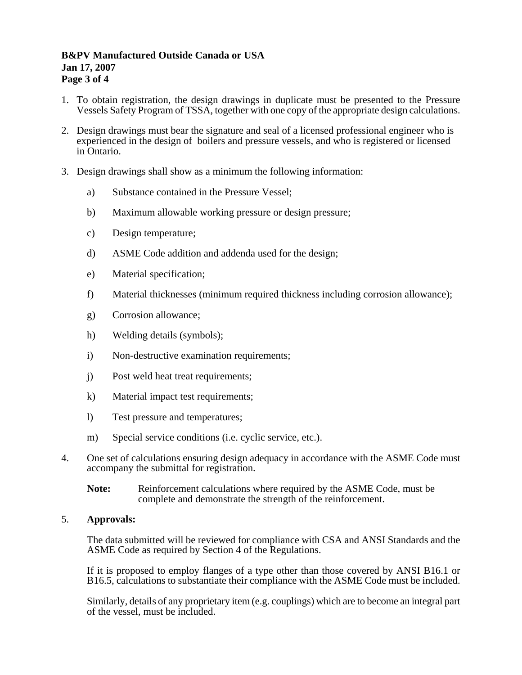# **B&PV Manufactured Outside Canada or USA Jan 17, 2007 Page 3 of 4**

- 1. To obtain registration, the design drawings in duplicate must be presented to the Pressure Vessels Safety Program of TSSA, together with one copy of the appropriate design calculations.
- 2. Design drawings must bear the signature and seal of a licensed professional engineer who is experienced in the design of boilers and pressure vessels, and who is registered or licensed in Ontario.
- 3. Design drawings shall show as a minimum the following information:
	- a) Substance contained in the Pressure Vessel;
	- b) Maximum allowable working pressure or design pressure;
	- c) Design temperature;
	- d) ASME Code addition and addenda used for the design;
	- e) Material specification;
	- f) Material thicknesses (minimum required thickness including corrosion allowance);
	- g) Corrosion allowance;
	- h) Welding details (symbols);
	- i) Non-destructive examination requirements;
	- j) Post weld heat treat requirements;
	- k) Material impact test requirements;
	- l) Test pressure and temperatures;
	- m) Special service conditions (i.e. cyclic service, etc.).
- 4. One set of calculations ensuring design adequacy in accordance with the ASME Code must accompany the submittal for registration.
	- **Note:** Reinforcement calculations where required by the ASME Code, must be complete and demonstrate the strength of the reinforcement.

# 5. **Approvals:**

The data submitted will be reviewed for compliance with CSA and ANSI Standards and the ASME Code as required by Section 4 of the Regulations.

If it is proposed to employ flanges of a type other than those covered by ANSI B16.1 or B16.5, calculations to substantiate their compliance with the ASME Code must be included.

Similarly, details of any proprietary item (e.g. couplings) which are to become an integral part of the vessel, must be included.